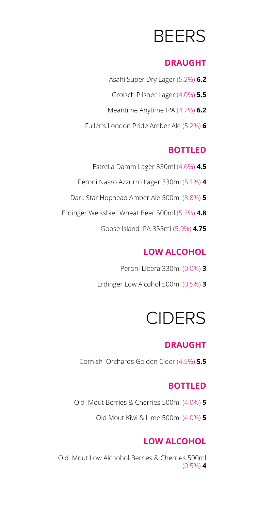# BEERS

#### **DRAUGHT**

Asahi Super Dry Lager (5.2%) **6.2** Grolsch Pilsner Lager (4.0%) **5.5** Meantime Anytime IPA (4.7%) **6.2** Fuller's London Pride Amber Ale (5.2%) **6**

### **BOTTLED**

- Estrella Damm Lager 330ml (4.6%) **4.5** Peroni Nasro Azzurro Lager 330ml (5.1%) **4** Dark Star Hophead Amber Ale 500ml (3.8%) **5**
- Erdinger Weissbier Wheat Beer 500ml (5.3%) **4.8**
	- Goose Island IPA 355ml (5.9%) **4.75**

# **LOW ALCOHOL**

Peroni Libera 330ml (0.0%) **3** Erdinger Low Alcohol 500ml (0.5%) **3**

# CIDERS

### **DRAUGHT**

Cornish Orchards Golden Cider (4.5%) **5.5**

### **BOTTLED**

- Old Mout Berries & Cherries 500ml (4.0%) **5**
	- Old Mout Kiwi & Lime 500ml (4.0%) **5**

## **LOW ALCOHOL**

Old Mout Low Alchohol Berries & Cherries 500ml (0.5%) **4**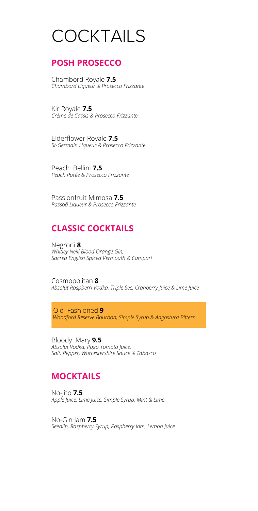# **COCKTAILS**

#### **POSH PROSECCO**

Chambord Royale **7.5** *Chambord Liqueur & Prosecco Frizzante*

Kir Royale **7.5** *Créme de Cassis & Prosecco Frizzante*

Elderflower Royale **7.5** *St-Germain Liqueur & Prosecco Frizzante*

Peach Bellini **7.5** *Peach Purée & Prosecco Frizzante*

Passionfruit Mimosa **7.5** *Passoã Liqueur & Prosecco Frizzante*

#### **CLASSIC COCKTAILS**

Negroni **8** *Whitley Neill Blood Orange Gin, Sacred English Spiced Vermouth & Campari*

Cosmopolitan **8** *Absolut Raspberri Vodka, Triple Sec, Cranberry Juice & Lime Juice*

Old Fashioned **9** *Woodford Reserve Bourbon, Simple Syrup & Angostura Bitters*

Bloody Mary **9.5** *Absolut Vodka, Pago Tomato Juice, Salt, Pepper, Worcestershire Sauce & Tabasco*

#### **MOCKTAILS**

No-jito **7.5** *Apple Juice, Lime Juice, Simple Syrup, Mint & Lime*

No-Gin Jam **7.5** *Seedlip, Raspberry Syrup, Raspberry Jam, Lemon Juice*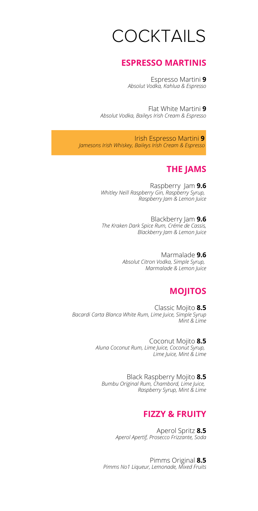# **COCKTAILS**

#### **ESPRESSO MARTINIS**

Espresso Martini **9** *Absolut Vodka, Kahlua & Espresso*

Flat White Martini **9** *Absolut Vodka, Baileys Irish Cream & Espresso*

Irish Espresso Martini **9** *Jamesons Irish Whiskey, Baileys Irish Cream & Espresso*

#### **THE JAMS**

Raspberry Jam **9.6** *Whitley Neill Raspberry Gin, Raspberry Syrup, Raspberry Jam & Lemon Juice*

Blackberry Jam **9.6** *The Kraken Dark Spice Rum, Créme de Cassis, Blackberry Jam & Lemon Juice*

> Marmalade **9.6** *Absolut Citron Vodka, Simple Syrup, Marmalade & Lemon Juice*

#### **MOJITOS**

Classic Mojito **8.5** *Bacardi Carta Blanca White Rum, Lime Juice, Simple Syrup Mint & Lime*

> Coconut Mojito **8.5** *Aluna Coconut Rum, Lime Juice, Coconut Syrup, Lime Juice, Mint & Lime*

Black Raspberry Mojito **8.5** *Bumbu Original Rum, Chambord, Lime Juice, Raspberry Syrup, Mint & Lime*

#### **FIZZY & FRUITY**

Aperol Spritz **8.5** *Aperol Apertif, Prosecco Frizzante, Soda*

Pimms Original **8.5** *Pimms No1 Liqueur, Lemonade, Mixed Fruits*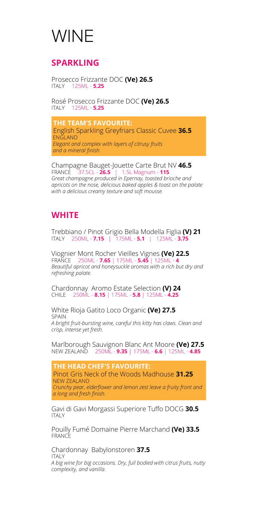# WINE

#### **SPARKLING**

Prosecco Frizzante DOC **(Ve) 26.5** ITALY 125ML - **5.25**

Rosé Prosecco Frizzante DOC **(Ve) 26.5** ITALY 125ML - **5.25**

**THE TEAM'S FAVOURITE:** English Sparkling Greyfriars Classic Cuvee **36.5** ENGLAND *Elegant and complex with layers of citrusy fruits and a mineral finish.*

Champagne Bauget-Jouette Carte Brut NV **46.5** FRANCE 37.5CL - **26.5** | 1.5L Magnum - **115** *Great champagne produced in Epernay, toasted brioche and apricots on the nose, delicious baked apples & toast on the palate with a delicious creamy texture and soft mousse.*

#### **WHITE**

Trebbiano / Pinot Grigio Bella Modella Figlia **(V) 21** ITALY 250ML - **7.15** | 175ML - **5.1** | 125ML - **3.75**

Viognier Mont Rocher Vieilles Vignes **(Ve) 22.5** FRANCE 250ML - **7.65** | 175ML - **5.45** | 125ML - **4** *Beautiful apricot and honeysuckle aromas with a rich but dry and refreshing palate.*

Chardonnay Aromo Estate Selection **(V) 24** CHILE 250ML - **8.15** | 175ML - **5.8** | 125ML - **4.25**

White Rioja Gatito Loco Organic **(Ve) 27.5** SPAIN *A bright fruit-bursting wine, careful this kitty has claws. Clean and crisp, intense yet fresh.*

Marlborough Sauvignon Blanc Ant Moore **(Ve) 27.5** NEW ZEALAND 250ML - **9.35** | 175ML - **6.6** | 125ML - **4.85**

**THE HEAD CHEF'S FAVOURITE:** Pinot Gris Neck of the Woods Madhouse **31.25** NEW ZEALAND *Crunchy pear, elderflower and lemon zest leave a fruity front and a long and fresh finish.*

Gavi di Gavi Morgassi Superiore Tuffo DOCG **30.5** ITALY

Pouilly Fumé Domaine Pierre Marchand **(Ve) 33.5** FRANCE

Chardonnay Babylonstoren **37.5** ITALY *A big wine for big occasions. Dry, full bodied with citrus fruits, nutty complexity, and vanilla.*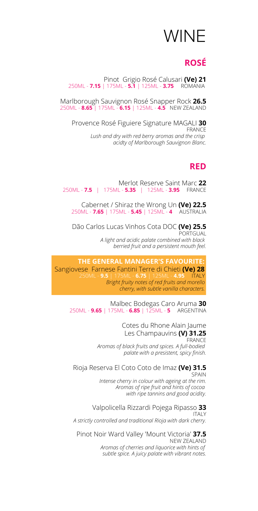# WINE

### **ROSÉ**

Pinot Grigio Rosé Calusari **(Ve) 21** 250ML - **7.15** | 175ML - **5.1** | 125ML - **3.75** 

Marlborough Sauvignon Rosé Snapper Rock **26.5** 250ML - **8.65** | 175ML - **6.15** | 125ML - **4.5** NEW ZEALAND

Provence Rosé Figuiere Signature MAGALI **30** FRANCE *Lush and dry with red berry aromas and the crisp acidty of Marlborough Sauvignon Blanc.*

#### **RED**

Merlot Reserve Saint Marc **22** 250ML - **7.5** | 175ML - **5.35** | 125ML - **3.95** 

Cabernet / Shiraz the Wrong Un **(Ve) 22.5** 250ML - **7.65** | 175ML - **5.45** | 125ML - **4** 

Dão Carlos Lucas Vinhos Cota DOC **(Ve) 25.5** PORTGUAL *A light and acidic palate combined with black berried fruit and a persistent mouth feel.*

**THE GENERAL MANAGER'S FAVOURITE:** Sangiovese Farnese Fantini Terre di Chieti **(Ve) 28** 250ML - **9.5** | 175ML - **6.75** | 125ML - **4.95** ITALY *Bright fruity notes of red fruits and morello cherry, with subtle vanilla characters.*

Malbec Bodegas Caro Aruma **30** 250ML - **9.65** | 175ML - **6.85** | 125ML - **5** ARGENTINA

> Cotes du Rhone Alain Jaume Les Champauvins **(V) 31.25** FRANCE *Aromas of black fruits and spices. A full-bodied palate with a presistent, spicy finish.*

#### Rioja Reserva El Coto Coto de Imaz **(Ve) 31.5** SPAIN

*Intense cherry in colour with ageing at the rim. Aromas of ripe fruit and hints of cocoa with ripe tannins and good acidity.*

Valpolicella Rizzardi Pojega Ripasso **33** ITALY *A strictly controlled and traditional Rioja with dark cherry.*

Pinot Noir Ward Valley 'Mount Victoria' **37.5** NEW ZEALAND *Aromas of cherries and liquorice with hints of subtle spice. A juicy palate with vibrant notes.*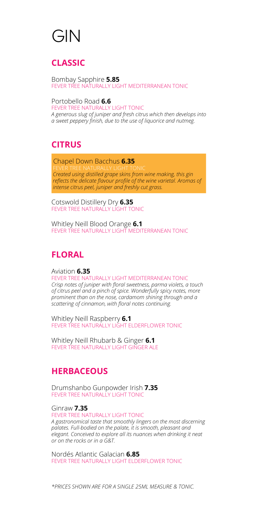# GIN

### **CLASSIC**

Bombay Sapphire **5.85** FEVER TREE NATURALLY LIGHT MEDITERRANEAN TONIC

Portobello Road **6.6** FEVER TREE NATURALLY LIGHT TONIC *A generous slug of juniper and fresh citrus which then develops into a sweet peppery finish, due to the use of liquorice and nutmeg.*

### **CITRUS**

Chapel Down Bacchus **6.35** *Created using distilled grape skins from wine making, this gin reflects the delicate flavour profile of the wine varietal. Aromas of intense citrus peel, juniper and freshly cut grass.*

Cotswold Distillery Dry **6.35** FEVER TREE NATURALLY LIGHT TONIC

Whitley Neill Blood Orange **6.1** FEVER TREE NATURALLY LIGHT MEDITERRANEAN TONIC

# **FLORAL**

Aviation **6.35**

FEVER TREE NATURALLY LIGHT MEDITERRANEAN TONIC *Crisp notes of juniper with floral sweetness, parma violets, a touch of citrus peel and a pinch of spice. Wonderfully spicy notes, more prominent than on the nose, cardamom shining through and a scattering of cinnamon, with floral notes continuing.*

Whitley Neill Raspberry **6.1** FEVER TREE NATURALLY LIGHT ELDERFLOWER TONIC

Whitley Neill Rhubarb & Ginger **6.1** FEVER TREE NATURALLY LIGHT GINGER ALE

## **HERBACEOUS**

Drumshanbo Gunpowder Irish **7.35** FEVER TREE NATURALLY LIGHT TONIC

Ginraw **7.35**

FEVER TREE NATURALLY LIGHT TONIC *A gastronomical taste that smoothly lingers on the most discerning palates. Full-bodied on the palate, it is smooth, pleasant and elegant. Conceived to explore all its nuances when drinking it neat or on the rocks or in a G&T.*

Nordés Atlantic Galacian **6.85** FEVER TREE NATURALLY LIGHT ELDERFLOWER TONIC

*\*PRICES SHOWN ARE FOR A SINGLE 25ML MEASURE & TONIC.*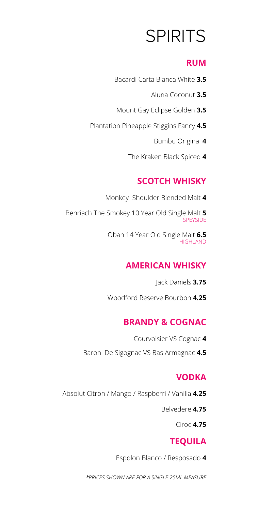# SPIRITS

#### **RUM**

- Bacardi Carta Blanca White **3.5**
	- Aluna Coconut **3.5**
- Mount Gay Eclipse Golden **3.5**
- Plantation Pineapple Stiggins Fancy **4.5**
	- Bumbu Original **4**
	- The Kraken Black Spiced **4**

## **SCOTCH WHISKY**

Monkey Shoulder Blended Malt **4**

Benriach The Smokey 10 Year Old Single Malt **5 SPEYSIDE** 

> Oban 14 Year Old Single Malt **6.5** HIGHLAND

## **AMERICAN WHISKY**

Jack Daniels **3.75**

Woodford Reserve Bourbon **4.25**

## **BRANDY & COGNAC**

- Courvoisier VS Cognac **4**
- Baron De Sigognac VS Bas Armagnac **4.5**

#### **VODKA**

- Absolut Citron / Mango / Raspberri / Vanilia **4.25**
	- Belvedere **4.75**

Ciroc **4.75**

## **TEQUILA**

Espolon Blanco / Resposado **4**